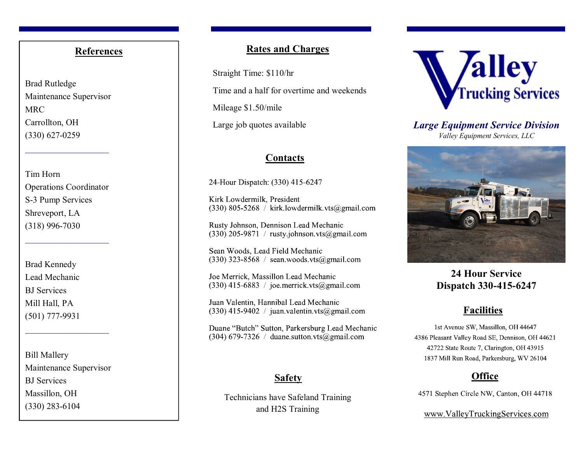#### **References**

Brad Rutledge Maintenance Supervisor MRC Carrollton, OH (330) 627-0259

Tim Horn Operations Coordinator S-3 Pump Services Shreveport, LA (318) 996-7030

 $\mathcal{L}=\mathcal{L}=\mathcal{L}=\mathcal{L}=\mathcal{L}=\mathcal{L}=\mathcal{L}=\mathcal{L}=\mathcal{L}=\mathcal{L}=\mathcal{L}=\mathcal{L}=\mathcal{L}=\mathcal{L}=\mathcal{L}=\mathcal{L}=\mathcal{L}=\mathcal{L}=\mathcal{L}=\mathcal{L}=\mathcal{L}=\mathcal{L}=\mathcal{L}=\mathcal{L}=\mathcal{L}=\mathcal{L}=\mathcal{L}=\mathcal{L}=\mathcal{L}=\mathcal{L}=\mathcal{L}=\mathcal{L}=\mathcal{L}=\mathcal{L}=\mathcal{L}=\mathcal{L}=\mathcal{$ 

Brad Kennedy Lead Mechanic BJ Services Mill Hall, PA (501) 777-9931

Bill Mallery Maintenance Supervisor BJ Services Massillon, OH(330) 283-6104

#### **Rates and Charges**

Straight Time: \$110/hr Time and a half for overtime and weekends Mileage \$1.50/mile

Large job quotes available

#### **Contacts**

24-Hour Dispatch: (330) 415-6247

Kirk Lowdermilk, President  $(330)$  805-5268 / kirk.lowdermilk.vts@gmail.com

Rusty Johnson, Dennison Lead Mechanic  $(330)$  205-9871 / rusty.johnson.vts@gmail.com

Sean Woods, Lead Field Mechanic  $(330)$  323-8568 / sean.woods.vts@gmail.com

Joe Merrick, Massillon Lead Mechanic  $(330)$  415-6883 / joe.merrick.vts@gmail.com

Juan Valentin, Hannibal Lead Mechanic  $(330)$  415-9402 / juan.valentin.vts@gmail.com

Duane "Butch" Sutton, Parkersburg Lead Mechanic  $(304)$  679-7326 / duane.sutton.vts@gmail.com

## **Safety**

Technicians have Safeland Training and H2S Training



*Large Equipment Service Division Valley Equipment Services, LLC* 



# **24 Hour Service Dispatch 330-415-6247**

# **Facilities**

1st Avenue SW, Massillon, OH 44647 4386 Pleasant Valley Road SE, Dennison, OH 44621 42722 State Route 7, Clarington, OH 43915 1837 Mill Run Road, Parkersburg, WV 26104

## **Office**

4571 Stephen Circle NW, Canton, OH 44718

www.ValleyTruckingServices.com